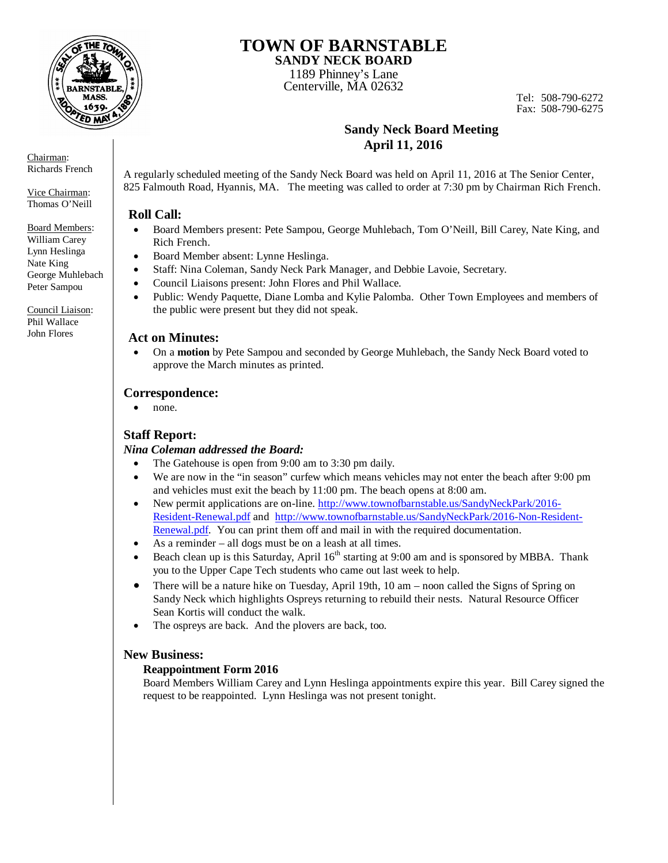

Chairman: Richards French

Vice Chairman: Thomas O'Neill

Board Members: William Carey Lynn Heslinga Nate King George Muhlebach Peter Sampou

Council Liaison: Phil Wallace John Flores

### **TOWN OF BARNSTABLE SANDY NECK BOARD**

1189 Phinney's Lane

Centerville, MA 02632

Tel: 508-790-6272 Fax: 508-790-6275

## **Sandy Neck Board Meeting April 11, 2016**

A regularly scheduled meeting of the Sandy Neck Board was held on April 11, 2016 at The Senior Center, 825 Falmouth Road, Hyannis, MA. The meeting was called to order at 7:30 pm by Chairman Rich French.

### **Roll Call:**

- Board Members present: Pete Sampou, George Muhlebach, Tom O'Neill, Bill Carey, Nate King, and Rich French.
- Board Member absent: Lynne Heslinga.
- Staff: Nina Coleman, Sandy Neck Park Manager, and Debbie Lavoie, Secretary.
- Council Liaisons present: John Flores and Phil Wallace.
- Public: Wendy Paquette, Diane Lomba and Kylie Palomba. Other Town Employees and members of the public were present but they did not speak.

#### **Act on Minutes:**

 On a **motion** by Pete Sampou and seconded by George Muhlebach, the Sandy Neck Board voted to approve the March minutes as printed.

#### **Correspondence:**

• none.

### **Staff Report:**

#### *Nina Coleman addressed the Board:*

- The Gatehouse is open from 9:00 am to 3:30 pm daily.
- We are now in the "in season" curfew which means vehicles may not enter the beach after 9:00 pm and vehicles must exit the beach by 11:00 pm. The beach opens at 8:00 am.
- New permit applications are on-line. http://www.townofbarnstable.us/SandyNeckPark/2016- Resident-Renewal.pdf and http://www.townofbarnstable.us/SandyNeckPark/2016-Non-Resident-Renewal.pdf. You can print them off and mail in with the required documentation.
- As a reminder all dogs must be on a leash at all times.
- Beach clean up is this Saturday, April  $16<sup>th</sup>$  starting at 9:00 am and is sponsored by MBBA. Thank you to the Upper Cape Tech students who came out last week to help.
- There will be a nature hike on Tuesday, April 19th, 10 am noon called the Signs of Spring on Sandy Neck which highlights Ospreys returning to rebuild their nests. Natural Resource Officer Sean Kortis will conduct the walk.
- The ospreys are back. And the plovers are back, too.

#### **New Business:**

#### **Reappointment Form 2016**

Board Members William Carey and Lynn Heslinga appointments expire this year. Bill Carey signed the request to be reappointed. Lynn Heslinga was not present tonight.